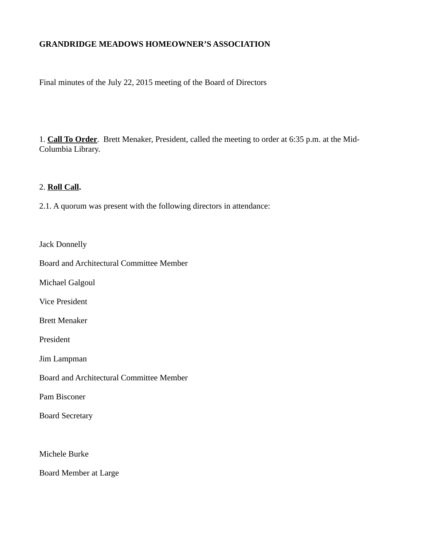# **GRANDRIDGE MEADOWS HOMEOWNER'S ASSOCIATION**

Final minutes of the July 22, 2015 meeting of the Board of Directors

1. **Call To Order**. Brett Menaker, President, called the meeting to order at 6:35 p.m. at the Mid-Columbia Library.

#### 2. **Roll Call.**

2.1. A quorum was present with the following directors in attendance:

Jack Donnelly

Board and Architectural Committee Member

Michael Galgoul

Vice President

Brett Menaker

President

Jim Lampman

Board and Architectural Committee Member

Pam Bisconer

Board Secretary

Michele Burke

Board Member at Large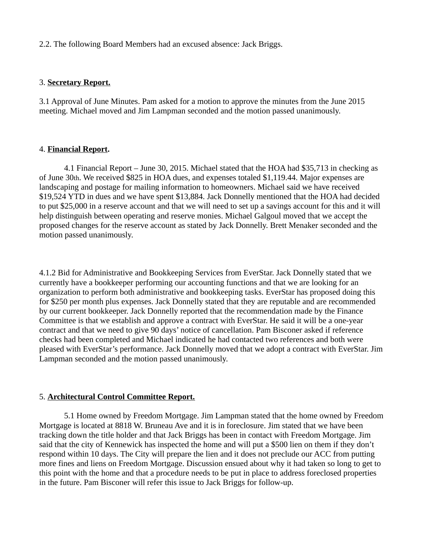2.2. The following Board Members had an excused absence: Jack Briggs.

## 3. **Secretary Report.**

3.1 Approval of June Minutes. Pam asked for a motion to approve the minutes from the June 2015 meeting. Michael moved and Jim Lampman seconded and the motion passed unanimously.

## 4. **Financial Report.**

4.1 Financial Report – June 30, 2015. Michael stated that the HOA had \$35,713 in checking as of June 30th. We received \$825 in HOA dues, and expenses totaled \$1,119.44. Major expenses are landscaping and postage for mailing information to homeowners. Michael said we have received \$19,524 YTD in dues and we have spent \$13,884. Jack Donnelly mentioned that the HOA had decided to put \$25,000 in a reserve account and that we will need to set up a savings account for this and it will help distinguish between operating and reserve monies. Michael Galgoul moved that we accept the proposed changes for the reserve account as stated by Jack Donnelly. Brett Menaker seconded and the motion passed unanimously.

4.1.2 Bid for Administrative and Bookkeeping Services from EverStar. Jack Donnelly stated that we currently have a bookkeeper performing our accounting functions and that we are looking for an organization to perform both administrative and bookkeeping tasks. EverStar has proposed doing this for \$250 per month plus expenses. Jack Donnelly stated that they are reputable and are recommended by our current bookkeeper. Jack Donnelly reported that the recommendation made by the Finance Committee is that we establish and approve a contract with EverStar. He said it will be a one-year contract and that we need to give 90 days' notice of cancellation. Pam Bisconer asked if reference checks had been completed and Michael indicated he had contacted two references and both were pleased with EverStar's performance. Jack Donnelly moved that we adopt a contract with EverStar. Jim Lampman seconded and the motion passed unanimously.

# 5. **Architectural Control Committee Report.**

5.1 Home owned by Freedom Mortgage. Jim Lampman stated that the home owned by Freedom Mortgage is located at 8818 W. Bruneau Ave and it is in foreclosure. Jim stated that we have been tracking down the title holder and that Jack Briggs has been in contact with Freedom Mortgage. Jim said that the city of Kennewick has inspected the home and will put a \$500 lien on them if they don't respond within 10 days. The City will prepare the lien and it does not preclude our ACC from putting more fines and liens on Freedom Mortgage. Discussion ensued about why it had taken so long to get to this point with the home and that a procedure needs to be put in place to address foreclosed properties in the future. Pam Bisconer will refer this issue to Jack Briggs for follow-up.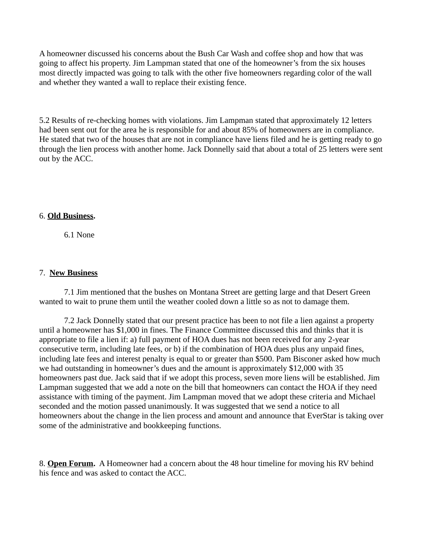A homeowner discussed his concerns about the Bush Car Wash and coffee shop and how that was going to affect his property. Jim Lampman stated that one of the homeowner's from the six houses most directly impacted was going to talk with the other five homeowners regarding color of the wall and whether they wanted a wall to replace their existing fence.

5.2 Results of re-checking homes with violations. Jim Lampman stated that approximately 12 letters had been sent out for the area he is responsible for and about 85% of homeowners are in compliance. He stated that two of the houses that are not in compliance have liens filed and he is getting ready to go through the lien process with another home. Jack Donnelly said that about a total of 25 letters were sent out by the ACC.

#### 6. **Old Business.**

6.1 None

## 7. **New Business**

7.1 Jim mentioned that the bushes on Montana Street are getting large and that Desert Green wanted to wait to prune them until the weather cooled down a little so as not to damage them.

7.2 Jack Donnelly stated that our present practice has been to not file a lien against a property until a homeowner has \$1,000 in fines. The Finance Committee discussed this and thinks that it is appropriate to file a lien if: a) full payment of HOA dues has not been received for any 2-year consecutive term, including late fees, or b) if the combination of HOA dues plus any unpaid fines, including late fees and interest penalty is equal to or greater than \$500. Pam Bisconer asked how much we had outstanding in homeowner's dues and the amount is approximately \$12,000 with 35 homeowners past due. Jack said that if we adopt this process, seven more liens will be established. Jim Lampman suggested that we add a note on the bill that homeowners can contact the HOA if they need assistance with timing of the payment. Jim Lampman moved that we adopt these criteria and Michael seconded and the motion passed unanimously. It was suggested that we send a notice to all homeowners about the change in the lien process and amount and announce that EverStar is taking over some of the administrative and bookkeeping functions.

8. **Open Forum.** A Homeowner had a concern about the 48 hour timeline for moving his RV behind his fence and was asked to contact the ACC.